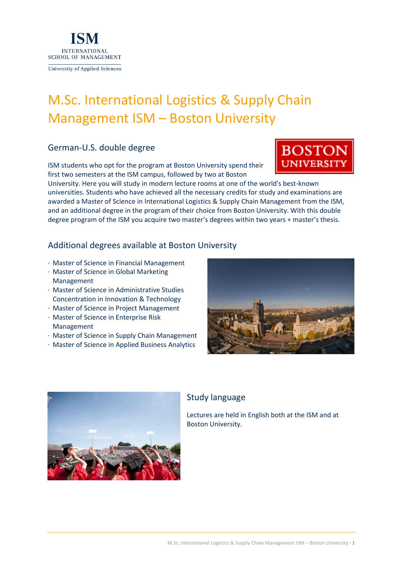

# M.Sc. International Logistics & Supply Chain Management ISM – Boston University

# German-U.S. double degree

ISM students who opt for the program at Boston University spend their first two semesters at the ISM campus, followed by two at Boston

University. Here you will study in modern lecture rooms at one of the world's best-known universities. Students who have achieved all the necessary credits for study and examinations are awarded a Master of Science in International Logistics & Supply Chain Management from the ISM, and an additional degree in the program of their choice from Boston University. With this double degree program of the ISM you acquire two master's degrees within two years + master's thesis.

# Additional degrees available at Boston University

- · Master of Science in Financial Management
- · Master of Science in Global Marketing Management
- · Master of Science in Administrative Studies Concentration in Innovation & Technology
- · Master of Science in Project Management
- · Master of Science in Enterprise Risk Management
- · Master of Science in Supply Chain Management
- · Master of Science in Applied Business Analytics





# Study language

Lectures are held in English both at the ISM and at Boston University.